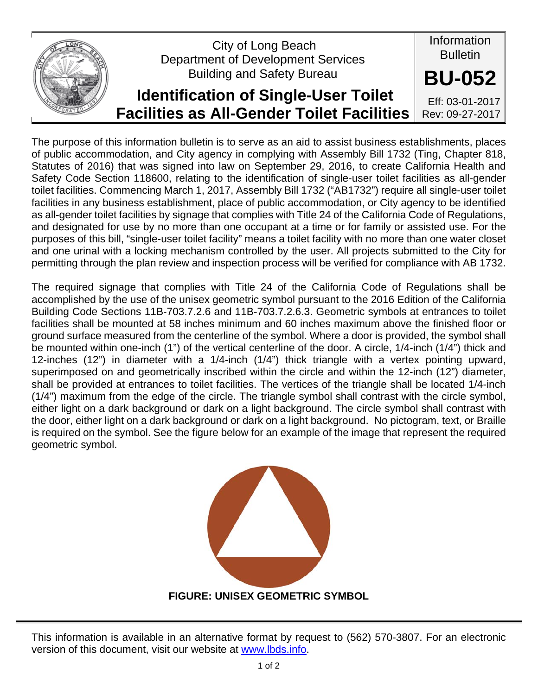

The purpose of this information bulletin is to serve as an aid to assist business establishments, places of public accommodation, and City agency in complying with Assembly Bill 1732 (Ting, Chapter 818, Statutes of 2016) that was signed into law on September 29, 2016, to create California Health and Safety Code Section 118600, relating to the identification of single-user toilet facilities as all-gender toilet facilities. Commencing March 1, 2017, Assembly Bill 1732 ("AB1732") require all single-user toilet facilities in any business establishment, place of public accommodation, or City agency to be identified as all-gender toilet facilities by signage that complies with Title 24 of the California Code of Regulations, and designated for use by no more than one occupant at a time or for family or assisted use. For the purposes of this bill, "single-user toilet facility" means a toilet facility with no more than one water closet and one urinal with a locking mechanism controlled by the user. All projects submitted to the City for permitting through the plan review and inspection process will be verified for compliance with AB 1732.

The required signage that complies with Title 24 of the California Code of Regulations shall be accomplished by the use of the unisex geometric symbol pursuant to the 2016 Edition of the California Building Code Sections 11B-703.7.2.6 and 11B-703.7.2.6.3. Geometric symbols at entrances to toilet facilities shall be mounted at 58 inches minimum and 60 inches maximum above the finished floor or ground surface measured from the centerline of the symbol. Where a door is provided, the symbol shall be mounted within one-inch (1") of the vertical centerline of the door. A circle, 1/4-inch (1/4") thick and 12-inches (12") in diameter with a 1/4-inch (1/4") thick triangle with a vertex pointing upward, superimposed on and geometrically inscribed within the circle and within the 12-inch (12") diameter, shall be provided at entrances to toilet facilities. The vertices of the triangle shall be located 1/4-inch (1/4") maximum from the edge of the circle. The triangle symbol shall contrast with the circle symbol, either light on a dark background or dark on a light background. The circle symbol shall contrast with the door, either light on a dark background or dark on a light background. No pictogram, text, or Braille is required on the symbol. See the figure below for an example of the image that represent the required geometric symbol.



**FIGURE: UNISEX GEOMETRIC SYMBOL** 

This information is available in an alternative format by request to (562) 570-3807. For an electronic version of this document, visit our website at www.lbds.info.